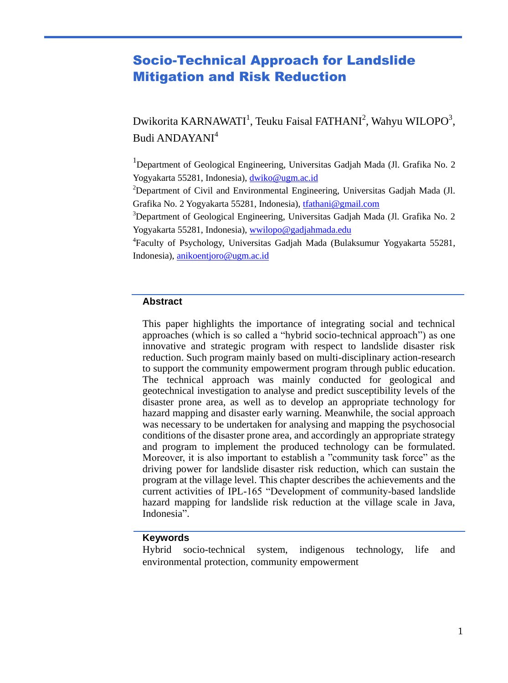# Socio-Technical Approach for Landslide Mitigation and Risk Reduction

Dwikorita KARNAWATI<sup>1</sup>, Teuku Faisal FATHANI<sup>2</sup>, Wahyu WILOPO<sup>3</sup>, Budi ANDAYANI<sup>4</sup>

<sup>1</sup>Department of Geological Engineering, Universitas Gadjah Mada (Jl. Grafika No. 2 Yogyakarta 55281, Indonesia), [dwiko@ugm.ac.id](mailto:dwiko@ugm.ac.id)

<sup>2</sup>Department of Civil and Environmental Engineering, Universitas Gadjah Mada (Jl. Grafika No. 2 Yogyakarta 55281, Indonesia), [tfathani@gmail.com](mailto:tfathani@gmail.com)

 $3$ Department of Geological Engineering, Universitas Gadjah Mada (Jl. Grafika No. 2) Yogyakarta 55281, Indonesia), [wwilopo@gadjahmada.edu](mailto:wwilopo@gadjahmada.edu)

4 Faculty of Psychology, Universitas Gadjah Mada (Bulaksumur Yogyakarta 55281, Indonesia), [anikoentjoro@ugm.ac.id](mailto:anikoentjoro@ugm.ac.id)

#### **Abstract**

This paper highlights the importance of integrating social and technical approaches (which is so called a "hybrid socio-technical approach") as one innovative and strategic program with respect to landslide disaster risk reduction. Such program mainly based on multi-disciplinary action-research to support the community empowerment program through public education. The technical approach was mainly conducted for geological and geotechnical investigation to analyse and predict susceptibility levels of the disaster prone area, as well as to develop an appropriate technology for hazard mapping and disaster early warning. Meanwhile, the social approach was necessary to be undertaken for analysing and mapping the psychosocial conditions of the disaster prone area, and accordingly an appropriate strategy and program to implement the produced technology can be formulated. Moreover, it is also important to establish a "community task force" as the driving power for landslide disaster risk reduction, which can sustain the program at the village level. This chapter describes the achievements and the current activities of IPL-165 "Development of community-based landslide hazard mapping for landslide risk reduction at the village scale in Java, Indonesia".

#### **Keywords**

Hybrid socio-technical system, indigenous technology, life and environmental protection, community empowerment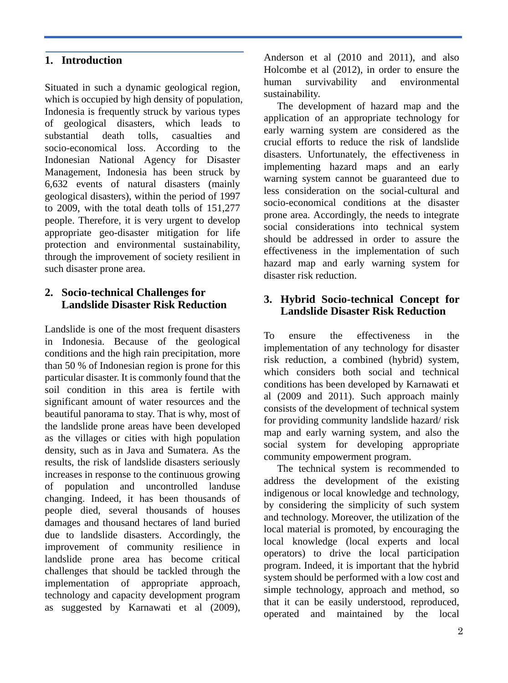# **1. Introduction**

Situated in such a dynamic geological region, which is occupied by high density of population, Indonesia is frequently struck by various types of geological disasters, which leads to substantial death tolls, casualties and socio-economical loss. According to the Indonesian National Agency for Disaster Management, Indonesia has been struck by 6,632 events of natural disasters (mainly geological disasters), within the period of 1997 to 2009, with the total death tolls of 151,277 people. Therefore, it is very urgent to develop appropriate geo-disaster mitigation for life protection and environmental sustainability, through the improvement of society resilient in such disaster prone area.

## **2. Socio-technical Challenges for Landslide Disaster Risk Reduction**

Landslide is one of the most frequent disasters in Indonesia. Because of the geological conditions and the high rain precipitation, more than 50 % of Indonesian region is prone for this particular disaster. It is commonly found that the soil condition in this area is fertile with significant amount of water resources and the beautiful panorama to stay. That is why, most of the landslide prone areas have been developed as the villages or cities with high population density, such as in Java and Sumatera. As the results, the risk of landslide disasters seriously increases in response to the continuous growing of population and uncontrolled landuse changing. Indeed, it has been thousands of people died, several thousands of houses damages and thousand hectares of land buried due to landslide disasters. Accordingly, the improvement of community resilience in landslide prone area has become critical challenges that should be tackled through the implementation of appropriate approach, technology and capacity development program as suggested by Karnawati et al (2009), Anderson et al (2010 and 2011), and also Holcombe et al (2012), in order to ensure the human survivability and environmental sustainability.

The development of hazard map and the application of an appropriate technology for early warning system are considered as the crucial efforts to reduce the risk of landslide disasters. Unfortunately, the effectiveness in implementing hazard maps and an early warning system cannot be guaranteed due to less consideration on the social-cultural and socio-economical conditions at the disaster prone area. Accordingly, the needs to integrate social considerations into technical system should be addressed in order to assure the effectiveness in the implementation of such hazard map and early warning system for disaster risk reduction.

### **3. Hybrid Socio-technical Concept for Landslide Disaster Risk Reduction**

To ensure the effectiveness in the implementation of any technology for disaster risk reduction, a combined (hybrid) system, which considers both social and technical conditions has been developed by Karnawati et al (2009 and 2011). Such approach mainly consists of the development of technical system for providing community landslide hazard/ risk map and early warning system, and also the social system for developing appropriate community empowerment program.

The technical system is recommended to address the development of the existing indigenous or local knowledge and technology, by considering the simplicity of such system and technology. Moreover, the utilization of the local material is promoted, by encouraging the local knowledge (local experts and local operators) to drive the local participation program. Indeed, it is important that the hybrid system should be performed with a low cost and simple technology, approach and method, so that it can be easily understood, reproduced, operated and maintained by the local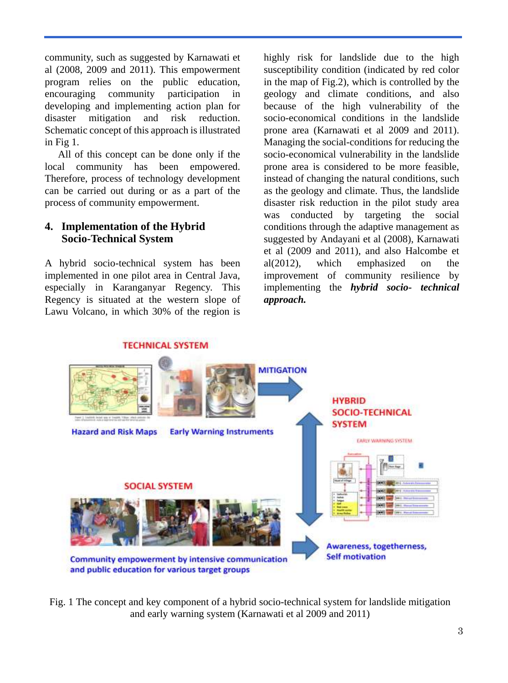community, such as suggested by Karnawati et al (2008, 2009 and 2011). This empowerment program relies on the public education, encouraging community participation in developing and implementing action plan for disaster mitigation and risk reduction. Schematic concept of this approach is illustrated in Fig 1.

All of this concept can be done only if the local community has been empowered. Therefore, process of technology development can be carried out during or as a part of the process of community empowerment.

### **4. Implementation of the Hybrid Socio-Technical System**

A hybrid socio-technical system has been implemented in one pilot area in Central Java, especially in Karanganyar Regency. This Regency is situated at the western slope of Lawu Volcano, in which 30% of the region is

highly risk for landslide due to the high susceptibility condition (indicated by red color in the map of Fig.2), which is controlled by the geology and climate conditions, and also because of the high vulnerability of the socio-economical conditions in the landslide prone area (Karnawati et al 2009 and 2011). Managing the social-conditions for reducing the socio-economical vulnerability in the landslide prone area is considered to be more feasible, instead of changing the natural conditions, such as the geology and climate. Thus, the landslide disaster risk reduction in the pilot study area was conducted by targeting the social conditions through the adaptive management as suggested by Andayani et al (2008), Karnawati et al (2009 and 2011), and also Halcombe et al(2012), which emphasized on the improvement of community resilience by implementing the *hybrid socio- technical approach.*



### Fig. 1 The concept and key component of a hybrid socio-technical system for landslide mitigation and early warning system (Karnawati et al 2009 and 2011)

#### **TECHNICAL SYSTEM**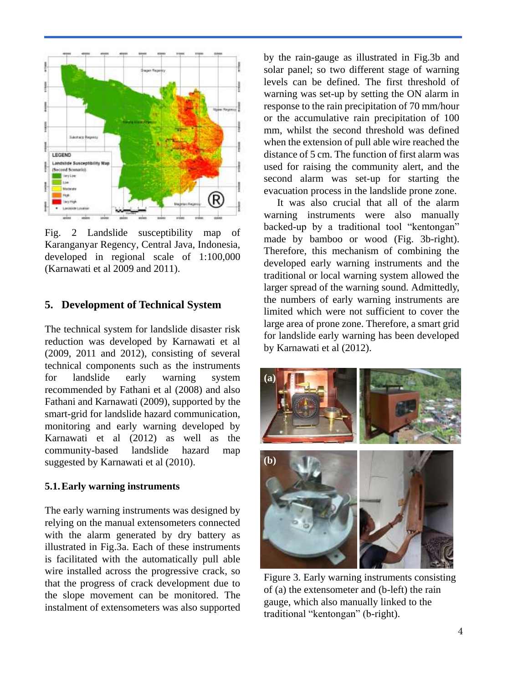

Fig. 2 Landslide susceptibility map of Karanganyar Regency, Central Java, Indonesia, developed in regional scale of 1:100,000 (Karnawati et al 2009 and 2011).

#### **5. Development of Technical System**

The technical system for landslide disaster risk reduction was developed by Karnawati et al (2009, 2011 and 2012), consisting of several technical components such as the instruments for landslide early warning system recommended by Fathani et al (2008) and also Fathani and Karnawati (2009), supported by the smart-grid for landslide hazard communication, monitoring and early warning developed by Karnawati et al (2012) as well as the community-based landslide hazard map suggested by Karnawati et al (2010).

#### **5.1.Early warning instruments**

The early warning instruments was designed by relying on the manual extensometers connected with the alarm generated by dry battery as illustrated in Fig.3a. Each of these instruments is facilitated with the automatically pull able wire installed across the progressive crack, so that the progress of crack development due to the slope movement can be monitored. The instalment of extensometers was also supported by the rain-gauge as illustrated in Fig.3b and solar panel; so two different stage of warning levels can be defined. The first threshold of warning was set-up by setting the ON alarm in response to the rain precipitation of 70 mm/hour or the accumulative rain precipitation of 100 mm, whilst the second threshold was defined when the extension of pull able wire reached the distance of 5 cm. The function of first alarm was used for raising the community alert, and the second alarm was set-up for starting the evacuation process in the landslide prone zone.

It was also crucial that all of the alarm warning instruments were also manually backed-up by a traditional tool "kentongan" made by bamboo or wood (Fig. 3b-right). Therefore, this mechanism of combining the developed early warning instruments and the traditional or local warning system allowed the larger spread of the warning sound. Admittedly, the numbers of early warning instruments are limited which were not sufficient to cover the large area of prone zone. Therefore, a smart grid for landslide early warning has been developed by Karnawati et al (2012).



Figure 3. Early warning instruments consisting of (a) the extensometer and (b-left) the rain gauge, which also manually linked to the traditional "kentongan" (b-right).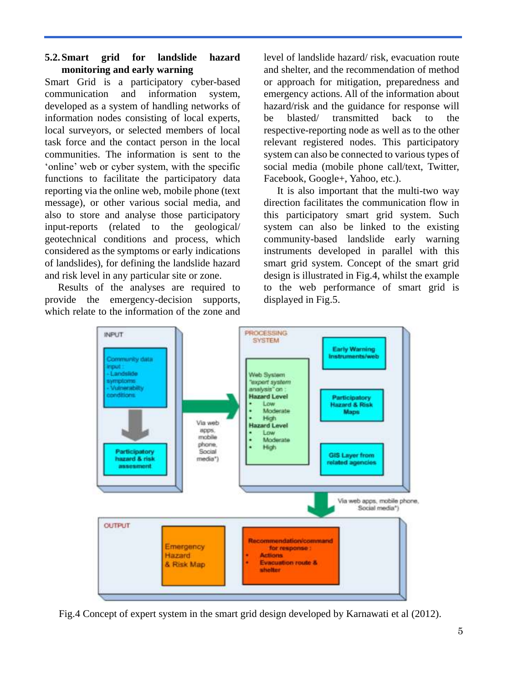### **5.2.Smart grid for landslide hazard monitoring and early warning**

Smart Grid is a participatory cyber-based communication and information system, developed as a system of handling networks of information nodes consisting of local experts, local surveyors, or selected members of local task force and the contact person in the local communities. The information is sent to the "online" web or cyber system, with the specific functions to facilitate the participatory data reporting via the online web, mobile phone (text message), or other various social media, and also to store and analyse those participatory input-reports (related to the geological/ geotechnical conditions and process, which considered as the symptoms or early indications of landslides), for defining the landslide hazard and risk level in any particular site or zone.

Results of the analyses are required to provide the emergency-decision supports, which relate to the information of the zone and

level of landslide hazard/ risk, evacuation route and shelter, and the recommendation of method or approach for mitigation, preparedness and emergency actions. All of the information about hazard/risk and the guidance for response will be blasted/ transmitted back to the respective-reporting node as well as to the other relevant registered nodes. This participatory system can also be connected to various types of social media (mobile phone call/text, Twitter, Facebook, Google+, Yahoo, etc.).

It is also important that the multi-two way direction facilitates the communication flow in this participatory smart grid system. Such system can also be linked to the existing community-based landslide early warning instruments developed in parallel with this smart grid system. Concept of the smart grid design is illustrated in Fig.4, whilst the example to the web performance of smart grid is displayed in Fig.5.



Fig.4 Concept of expert system in the smart grid design developed by Karnawati et al (2012).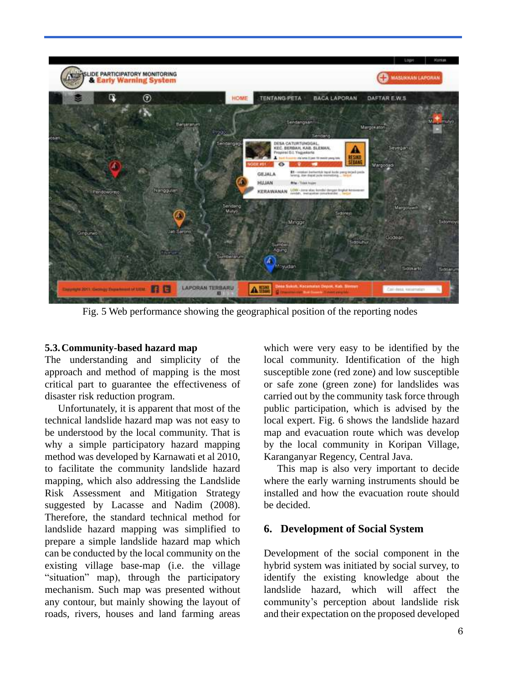

Fig. 5 Web performance showing the geographical position of the reporting nodes

#### **5.3.Community-based hazard map**

The understanding and simplicity of the approach and method of mapping is the most critical part to guarantee the effectiveness of disaster risk reduction program.

Unfortunately, it is apparent that most of the technical landslide hazard map was not easy to be understood by the local community. That is why a simple participatory hazard mapping method was developed by Karnawati et al 2010, to facilitate the community landslide hazard mapping, which also addressing the Landslide Risk Assessment and Mitigation Strategy suggested by Lacasse and Nadim (2008). Therefore, the standard technical method for landslide hazard mapping was simplified to prepare a simple landslide hazard map which can be conducted by the local community on the existing village base-map (i.e. the village "situation" map), through the participatory mechanism. Such map was presented without any contour, but mainly showing the layout of roads, rivers, houses and land farming areas

which were very easy to be identified by the local community. Identification of the high susceptible zone (red zone) and low susceptible or safe zone (green zone) for landslides was carried out by the community task force through public participation, which is advised by the local expert. Fig. 6 shows the landslide hazard map and evacuation route which was develop by the local community in Koripan Village, Karanganyar Regency, Central Java.

This map is also very important to decide where the early warning instruments should be installed and how the evacuation route should be decided.

## **6. Development of Social System**

Development of the social component in the hybrid system was initiated by social survey, to identify the existing knowledge about the landslide hazard, which will affect the community"s perception about landslide risk and their expectation on the proposed developed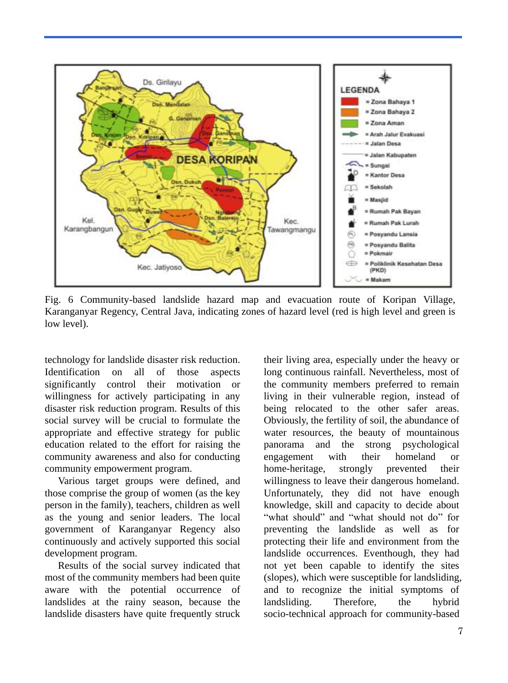

Fig. 6 Community-based landslide hazard map and evacuation route of Koripan Village, Karanganyar Regency, Central Java, indicating zones of hazard level (red is high level and green is low level).

technology for landslide disaster risk reduction. Identification on all of those aspects significantly control their motivation or willingness for actively participating in any disaster risk reduction program. Results of this social survey will be crucial to formulate the appropriate and effective strategy for public education related to the effort for raising the community awareness and also for conducting community empowerment program.

Various target groups were defined, and those comprise the group of women (as the key person in the family), teachers, children as well as the young and senior leaders. The local government of Karanganyar Regency also continuously and actively supported this social development program.

Results of the social survey indicated that most of the community members had been quite aware with the potential occurrence of landslides at the rainy season, because the landslide disasters have quite frequently struck their living area, especially under the heavy or long continuous rainfall. Nevertheless, most of the community members preferred to remain living in their vulnerable region, instead of being relocated to the other safer areas. Obviously, the fertility of soil, the abundance of water resources, the beauty of mountainous panorama and the strong psychological engagement with their homeland or home-heritage, strongly prevented their willingness to leave their dangerous homeland. Unfortunately, they did not have enough knowledge, skill and capacity to decide about "what should" and "what should not do" for preventing the landslide as well as for protecting their life and environment from the landslide occurrences. Eventhough, they had not yet been capable to identify the sites (slopes), which were susceptible for landsliding, and to recognize the initial symptoms of landsliding. Therefore, the hybrid socio-technical approach for community-based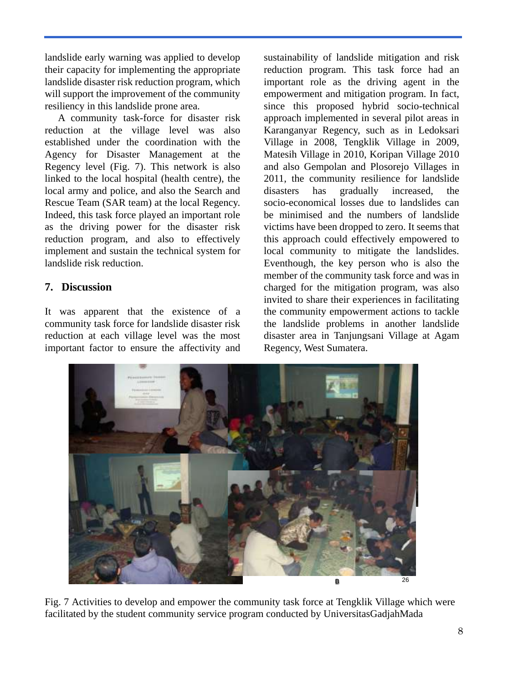landslide early warning was applied to develop their capacity for implementing the appropriate landslide disaster risk reduction program, which will support the improvement of the community resiliency in this landslide prone area.

A community task-force for disaster risk reduction at the village level was also established under the coordination with the Agency for Disaster Management at the Regency level (Fig. 7). This network is also linked to the local hospital (health centre), the local army and police, and also the Search and Rescue Team (SAR team) at the local Regency. Indeed, this task force played an important role as the driving power for the disaster risk reduction program, and also to effectively implement and sustain the technical system for landslide risk reduction.

### **7. Discussion**

It was apparent that the existence of a community task force for landslide disaster risk reduction at each village level was the most important factor to ensure the affectivity and sustainability of landslide mitigation and risk reduction program. This task force had an important role as the driving agent in the empowerment and mitigation program. In fact, since this proposed hybrid socio-technical approach implemented in several pilot areas in Karanganyar Regency, such as in Ledoksari Village in 2008, Tengklik Village in 2009, Matesih Village in 2010, Koripan Village 2010 and also Gempolan and Plosorejo Villages in 2011, the community resilience for landslide disasters has gradually increased, the socio-economical losses due to landslides can be minimised and the numbers of landslide victims have been dropped to zero. It seems that this approach could effectively empowered to local community to mitigate the landslides. Eventhough, the key person who is also the member of the community task force and was in charged for the mitigation program, was also invited to share their experiences in facilitating the community empowerment actions to tackle the landslide problems in another landslide disaster area in Tanjungsani Village at Agam Regency, West Sumatera.



Fig. 7 Activities to develop and empower the community task force at Tengklik Village which were facilitated by the student community service program conducted by UniversitasGadjahMada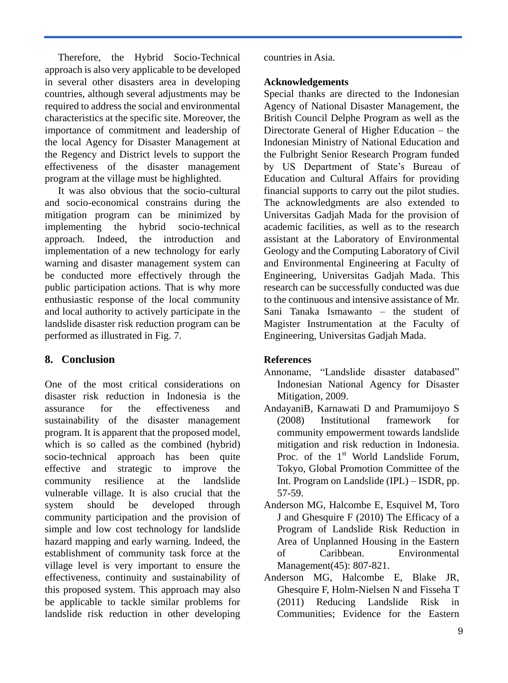Therefore, the Hybrid Socio-Technical approach is also very applicable to be developed in several other disasters area in developing countries, although several adjustments may be required to address the social and environmental characteristics at the specific site. Moreover, the importance of commitment and leadership of the local Agency for Disaster Management at the Regency and District levels to support the effectiveness of the disaster management program at the village must be highlighted.

It was also obvious that the socio-cultural and socio-economical constrains during the mitigation program can be minimized by implementing the hybrid socio-technical approach. Indeed, the introduction and implementation of a new technology for early warning and disaster management system can be conducted more effectively through the public participation actions. That is why more enthusiastic response of the local community and local authority to actively participate in the landslide disaster risk reduction program can be performed as illustrated in Fig. 7.

## **8. Conclusion**

One of the most critical considerations on disaster risk reduction in Indonesia is the assurance for the effectiveness and sustainability of the disaster management program. It is apparent that the proposed model, which is so called as the combined (hybrid) socio-technical approach has been quite effective and strategic to improve the community resilience at the landslide vulnerable village. It is also crucial that the system should be developed through community participation and the provision of simple and low cost technology for landslide hazard mapping and early warning. Indeed, the establishment of community task force at the village level is very important to ensure the effectiveness, continuity and sustainability of this proposed system. This approach may also be applicable to tackle similar problems for landslide risk reduction in other developing countries in Asia.

### **Acknowledgements**

Special thanks are directed to the Indonesian Agency of National Disaster Management, the British Council Delphe Program as well as the Directorate General of Higher Education – the Indonesian Ministry of National Education and the Fulbright Senior Research Program funded by US Department of State's Bureau of Education and Cultural Affairs for providing financial supports to carry out the pilot studies. The acknowledgments are also extended to Universitas Gadjah Mada for the provision of academic facilities, as well as to the research assistant at the Laboratory of Environmental Geology and the Computing Laboratory of Civil and Environmental Engineering at Faculty of Engineering, Universitas Gadjah Mada. This research can be successfully conducted was due to the continuous and intensive assistance of Mr. Sani Tanaka Ismawanto – the student of Magister Instrumentation at the Faculty of Engineering, Universitas Gadjah Mada.

## **References**

- Annoname, "Landslide disaster databased" Indonesian National Agency for Disaster Mitigation, 2009.
- AndayaniB, Karnawati D and Pramumijoyo S (2008) Institutional framework for community empowerment towards landslide mitigation and risk reduction in Indonesia. Proc. of the  $1<sup>st</sup>$  World Landslide Forum, Tokyo, Global Promotion Committee of the Int. Program on Landslide (IPL) – ISDR, pp. 57-59.
- Anderson MG, Halcombe E, Esquivel M, Toro J and Ghesquire F (2010) The Efficacy of a Program of Landslide Risk Reduction in Area of Unplanned Housing in the Eastern of Caribbean. Environmental Management(45): 807-821.
- Anderson MG, Halcombe E, Blake JR, Ghesquire F, Holm-Nielsen N and Fisseha T (2011) Reducing Landslide Risk in Communities; Evidence for the Eastern